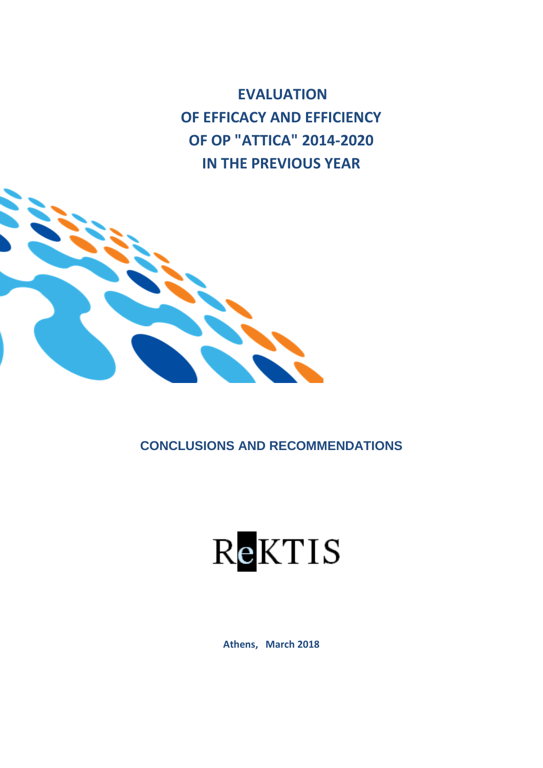**EVALUATION OF EFFICACY AND EFFICIENCY OF OP "ATTICA" 2014-2020 IN THE PREVIOUS YEAR**



**CONCLUSIONS AND RECOMMENDATIONS**



**Athens, March 2018**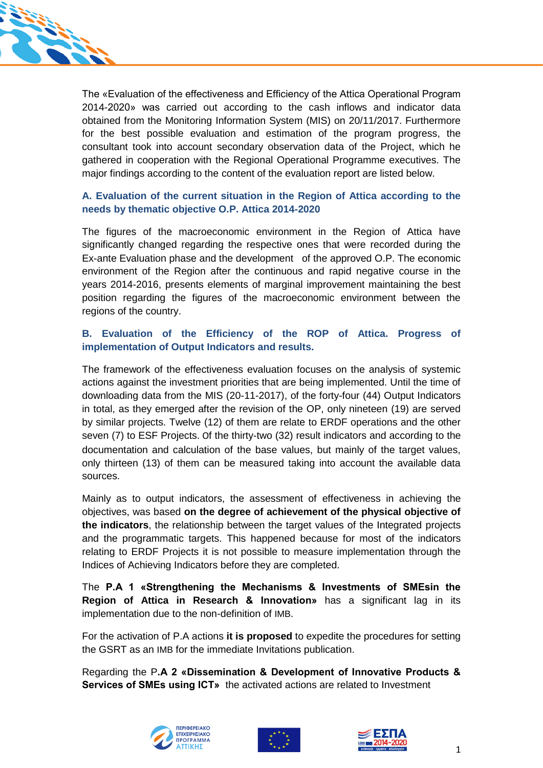

The «Evaluation of the effectiveness and Efficiency of the Attica Operational Program 2014-2020» was carried out according to the cash inflows and indicator data obtained from the Monitoring Information System (MIS) on 20/11/2017. Furthermore for the best possible evaluation and estimation of the program progress, the consultant took into account secondary observation data of the Project, which he gathered in cooperation with the Regional Operational Programme executives. The major findings according to the content of the evaluation report are listed below.

## **A. Evaluation of the current situation in the Region of Attica according to the needs by thematic objective O.P. Attica 2014-2020**

The figures of the macroeconomic environment in the Region of Attica have significantly changed regarding the respective ones that were recorded during the Ex-ante Evaluation phase and the development of the approved O.P. The economic environment of the Region after the continuous and rapid negative course in the years 2014-2016, presents elements of marginal improvement maintaining the best position regarding the figures of the macroeconomic environment between the regions of the country.

#### **B. Evaluation of the Efficiency of the ROP of Attica. Progress of implementation of Output Indicators and results.**

The framework of the effectiveness evaluation focuses on the analysis of systemic actions against the investment priorities that are being implemented. Until the time of downloading data from the MIS (20-11-2017), of the forty-four (44) Output Indicators in total, as they emerged after the revision of the OP, only nineteen (19) are served by similar projects. Twelve (12) of them are relate to ERDF operations and the other seven (7) to ESF Projects. Of the thirty-two (32) result indicators and according to the documentation and calculation of the base values, but mainly of the target values, only thirteen (13) of them can be measured taking into account the available data sources.

Mainly as to output indicators, the assessment of effectiveness in achieving the objectives, was based **on the degree of achievement of the physical objective of the indicators**, the relationship between the target values of the Integrated projects and the programmatic targets. This happened because for most of the indicators relating to ERDF Projects it is not possible to measure implementation through the Indices of Achieving Indicators before they are completed.

The **P.A 1 «Strengthening the Mechanisms & Investments of SMEsin the Region of Attica in Research & Innovation»** has a significant lag in its implementation due to the non-definition of IMB.

For the activation of P.A actions **it is proposed** to expedite the procedures for setting the GSRT as an IMB for the immediate Invitations publication.

Regarding the P**.A 2 «Dissemination & Development of Innovative Products & Services of SMEs using ICT»** the activated actions are related to Investment





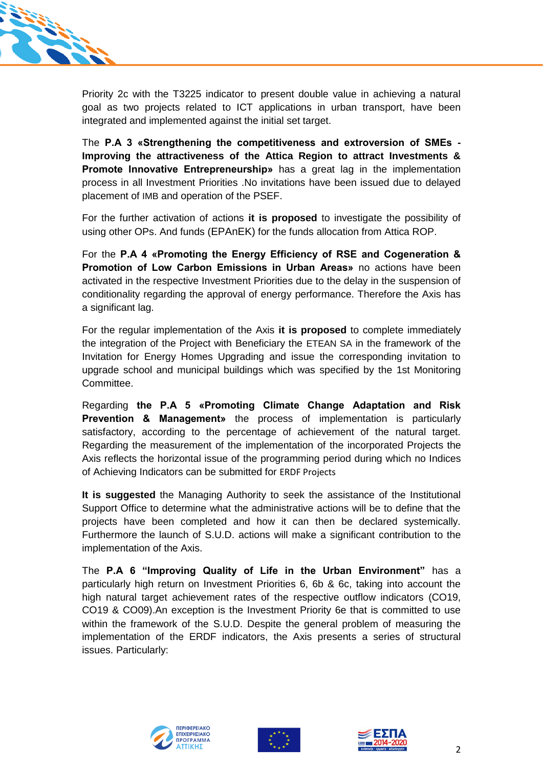

Priority 2c with the T3225 indicator to present double value in achieving a natural goal as two projects related to ICT applications in urban transport, have been integrated and implemented against the initial set target.

The **P.A 3 «Strengthening the competitiveness and extroversion of SMEs - Improving the attractiveness of the Attica Region to attract Investments & Promote Innovative Entrepreneurship»** has a great lag in the implementation process in all Investment Priorities .No invitations have been issued due to delayed placement of IMB and operation of the PSEF.

For the further activation of actions **it is proposed** to investigate the possibility of using other OPs. And funds (EPAnEK) for the funds allocation from Attica ROP.

For the **P.A 4 «Promoting the Energy Efficiency of RSE and Cogeneration & Promotion of Low Carbon Emissions in Urban Areas»** no actions have been activated in the respective Investment Priorities due to the delay in the suspension of conditionality regarding the approval of energy performance. Therefore the Axis has a significant lag.

For the regular implementation of the Axis **it is proposed** to complete immediately the integration of the Project with Beneficiary the ETEAN SA in the framework of the Invitation for Energy Homes Upgrading and issue the corresponding invitation to upgrade school and municipal buildings which was specified by the 1st Monitoring Committee.

Regarding **the P.A 5 «Promoting Climate Change Adaptation and Risk Prevention & Management»** the process of implementation is particularly satisfactory, according to the percentage of achievement of the natural target. Regarding the measurement of the implementation of the incorporated Projects the Axis reflects the horizontal issue of the programming period during which no Indices of Achieving Indicators can be submitted for ERDF Projects

**It is suggested** the Managing Authority to seek the assistance of the Institutional Support Office to determine what the administrative actions will be to define that the projects have been completed and how it can then be declared systemically. Furthermore the launch of S.U.D. actions will make a significant contribution to the implementation of the Axis.

The **P.A 6 "Improving Quality of Life in the Urban Environment"** has a particularly high return on Investment Priorities 6, 6b & 6c, taking into account the high natural target achievement rates of the respective outflow indicators (CO19, CO19 & CO09).An exception is the Investment Priority 6e that is committed to use within the framework of the S.U.D. Despite the general problem of measuring the implementation of the ERDF indicators, the Axis presents a series of structural issues. Particularly:





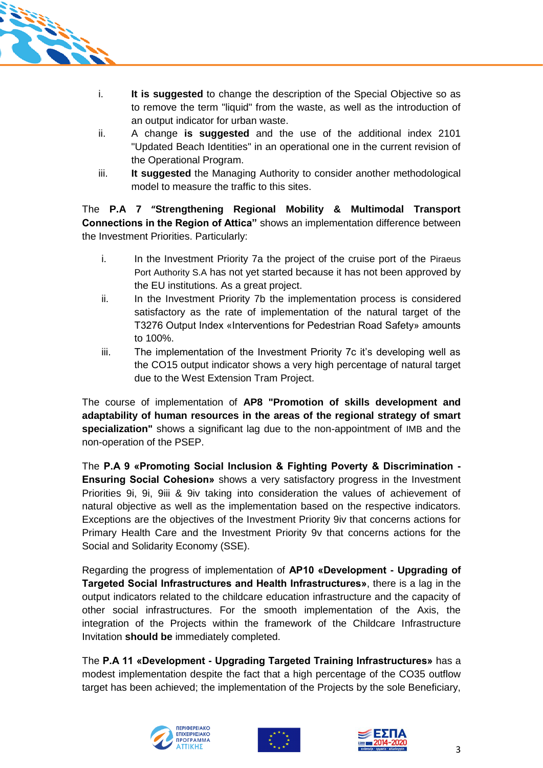

- i. **It is suggested** to change the description of the Special Objective so as to remove the term "liquid" from the waste, as well as the introduction of an output indicator for urban waste.
- ii. A change **is suggested** and the use of the additional index 2101 "Updated Beach Identities" in an operational one in the current revision of the Operational Program.
- iii. **It suggested** the Managing Authority to consider another methodological model to measure the traffic to this sites.

The **P.A 7 "Strengthening Regional Mobility & Multimodal Transport Connections in the Region of Attica"** shows an implementation difference between the Investment Priorities. Particularly:

- i. In the Investment Priority 7a the project of the cruise port of the Piraeus Port Authority S.A has not yet started because it has not been approved by the EU institutions. As a great project.
- ii. In the Investment Priority 7b the implementation process is considered satisfactory as the rate of implementation of the natural target of the T3276 Output Index «Interventions for Pedestrian Road Safety» amounts to 100%.
- iii. The implementation of the Investment Priority 7c it's developing well as the CO15 output indicator shows a very high percentage of natural target due to the West Extension Tram Project.

The course of implementation of **AP8 "Promotion of skills development and adaptability of human resources in the areas of the regional strategy of smart specialization"** shows a significant lag due to the non-appointment of IMB and the non-operation of the PSEP.

The **P.A 9 «Promoting Social Inclusion & Fighting Poverty & Discrimination - Ensuring Social Cohesion»** shows a very satisfactory progress in the Investment Priorities 9i, 9i, 9iii & 9iv taking into consideration the values of achievement of natural objective as well as the implementation based on the respective indicators. Exceptions are the objectives of the Investment Priority 9iv that concerns actions for Primary Health Care and the Investment Priority 9v that concerns actions for the Social and Solidarity Economy (SSE).

Regarding the progress of implementation of **AP10 «Development - Upgrading of Targeted Social Infrastructures and Health Infrastructures»**, there is a lag in the output indicators related to the childcare education infrastructure and the capacity of other social infrastructures. For the smooth implementation of the Axis, the integration of the Projects within the framework of the Childcare Infrastructure Invitation **should be** immediately completed.

The **P.A 11 «Development - Upgrading Targeted Training Infrastructures»** has a modest implementation despite the fact that a high percentage of the CO35 outflow target has been achieved; the implementation of the Projects by the sole Beneficiary,





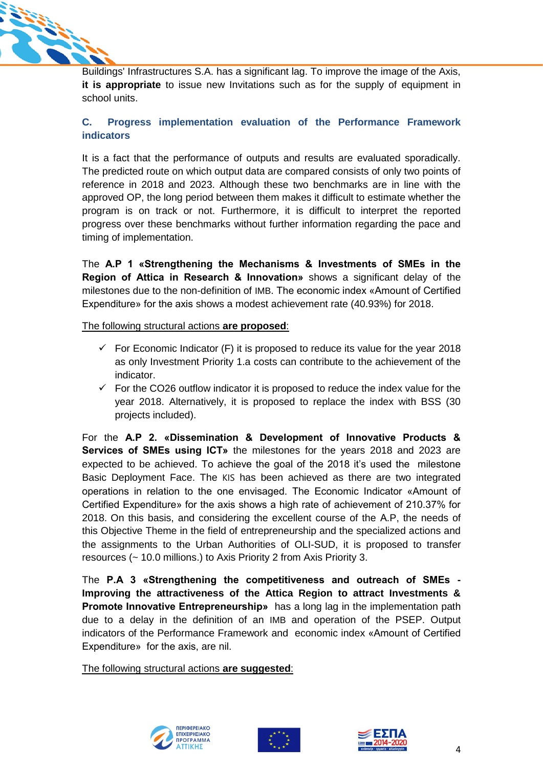

Buildings' Infrastructures S.A. has a significant lag. To improve the image of the Axis, **it is appropriate** to issue new Invitations such as for the supply of equipment in school units.

# **C. Progress implementation evaluation of the Performance Framework indicators**

It is a fact that the performance of outputs and results are evaluated sporadically. The predicted route on which output data are compared consists of only two points of reference in 2018 and 2023. Although these two benchmarks are in line with the approved OP, the long period between them makes it difficult to estimate whether the program is on track or not. Furthermore, it is difficult to interpret the reported progress over these benchmarks without further information regarding the pace and timing of implementation.

The **A.P 1 «Strengthening the Mechanisms & Investments of SMEs in the Region of Attica in Research & Innovation»** shows a significant delay of the milestones due to the non-definition of IMB. The economic index «Amount of Certified Expenditure» for the axis shows a modest achievement rate (40.93%) for 2018.

#### The following structural actions **are proposed**:

- $\checkmark$  For Economic Indicator (F) it is proposed to reduce its value for the year 2018 as only Investment Priority 1.a costs can contribute to the achievement of the indicator.
- $\checkmark$  For the CO26 outflow indicator it is proposed to reduce the index value for the year 2018. Alternatively, it is proposed to replace the index with BSS (30 projects included).

For the **A.P 2. «Dissemination & Development of Innovative Products & Services of SMEs using ICT»** the milestones for the years 2018 and 2023 are expected to be achieved. To achieve the goal of the 2018 it's used the milestone Basic Deployment Face. The KIS has been achieved as there are two integrated operations in relation to the one envisaged. The Economic Indicator «Amount of Certified Expenditure» for the axis shows a high rate of achievement of 210.37% for 2018. On this basis, and considering the excellent course of the Α.P, the needs of this Objective Theme in the field of entrepreneurship and the specialized actions and the assignments to the Urban Authorities of OLI-SUD, it is proposed to transfer resources (~ 10.0 millions.) to Axis Priority 2 from Axis Priority 3.

The **P.A 3 «Strengthening the competitiveness and outreach of SMEs - Improving the attractiveness of the Attica Region to attract Investments & Promote Innovative Entrepreneurship»** has a long lag in the implementation path due to a delay in the definition of an IMB and operation of the PSEP. Output indicators of the Performance Framework and economic index «Amount of Certified Expenditure» for the axis, are nil.

The following structural actions **are suggested**:





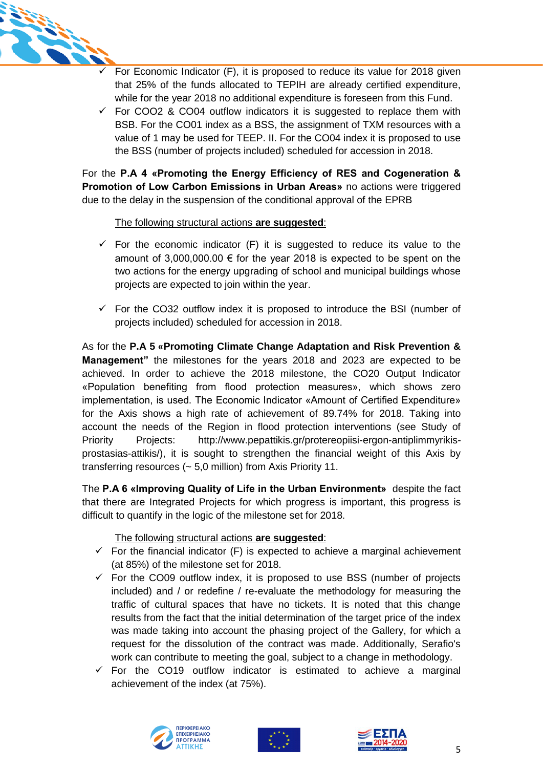

- For Economic Indicator (F), it is proposed to reduce its value for 2018 given that 25% of the funds allocated to TEPIH are already certified expenditure, while for the year 2018 no additional expenditure is foreseen from this Fund.
- $\checkmark$  For COO2 & CO04 outflow indicators it is suggested to replace them with BSB. For the CO01 index as a BSS, the assignment of TXM resources with a value of 1 may be used for TEEP. II. For the CO04 index it is proposed to use the BSS (number of projects included) scheduled for accession in 2018.

For the **P.A 4 «Promoting the Energy Efficiency of RES and Cogeneration & Promotion of Low Carbon Emissions in Urban Areas»** no actions were triggered due to the delay in the suspension of the conditional approval of the EPRB

## The following structural actions **are suggested**:

- $\checkmark$  For the economic indicator (F) it is suggested to reduce its value to the amount of  $3,000,000.00 \in$  for the year 2018 is expected to be spent on the two actions for the energy upgrading of school and municipal buildings whose projects are expected to join within the year.
- $\checkmark$  For the CO32 outflow index it is proposed to introduce the BSI (number of projects included) scheduled for accession in 2018.

As for the **P.A 5 «Promoting Climate Change Adaptation and Risk Prevention & Management"** the milestones for the years 2018 and 2023 are expected to be achieved. In order to achieve the 2018 milestone, the CO20 Output Indicator «Population benefiting from flood protection measures», which shows zero implementation, is used. The Economic Indicator «Amount of Certified Expenditure» for the Axis shows a high rate of achievement of 89.74% for 2018. Taking into account the needs of the Region in flood protection interventions (see Study of Priority Projects: http://www.pepattikis.gr/protereopiisi-ergon-antiplimmyrikisprostasias-attikis/), it is sought to strengthen the financial weight of this Axis by transferring resources (~ 5,0 million) from Axis Priority 11.

The **P.A 6 «Improving Quality of Life in the Urban Environment»** despite the fact that there are Integrated Projects for which progress is important, this progress is difficult to quantify in the logic of the milestone set for 2018.

## The following structural actions **are suggested**:

- $\checkmark$  For the financial indicator (F) is expected to achieve a marginal achievement (at 85%) of the milestone set for 2018.
- $\checkmark$  For the CO09 outflow index, it is proposed to use BSS (number of projects included) and / or redefine / re-evaluate the methodology for measuring the traffic of cultural spaces that have no tickets. It is noted that this change results from the fact that the initial determination of the target price of the index was made taking into account the phasing project of the Gallery, for which a request for the dissolution of the contract was made. Additionally, Serafio's work can contribute to meeting the goal, subject to a change in methodology.
- $\checkmark$  For the CO19 outflow indicator is estimated to achieve a marginal achievement of the index (at 75%).





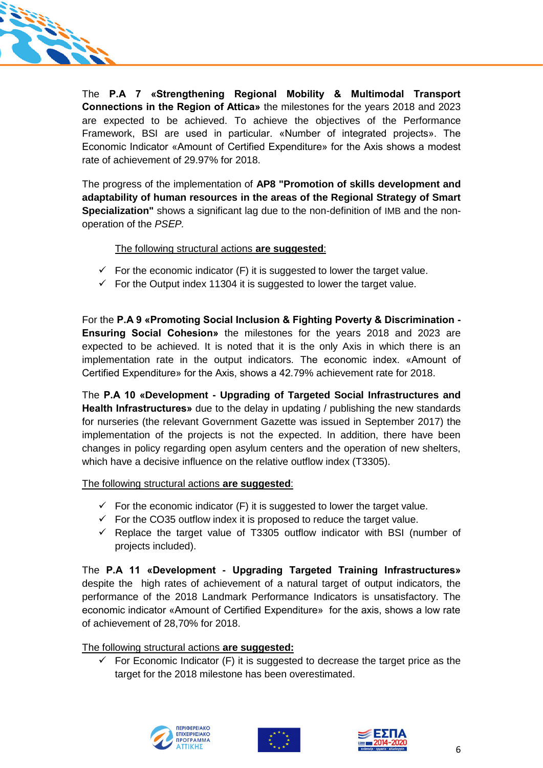

The **P.A 7 «Strengthening Regional Mobility & Multimodal Transport Connections in the Region of Attica»** the milestones for the years 2018 and 2023 are expected to be achieved. To achieve the objectives of the Performance Framework, BSI are used in particular. «Number of integrated projects». The Economic Indicator «Amount of Certified Expenditure» for the Axis shows a modest rate of achievement of 29.97% for 2018.

The progress of the implementation of **AP8 "Promotion of skills development and adaptability of human resources in the areas of the Regional Strategy of Smart Specialization"** shows a significant lag due to the non-definition of IMB and the nonoperation of the *PSΕP.*

#### The following structural actions **are suggested**:

- $\checkmark$  For the economic indicator (F) it is suggested to lower the target value.
- $\checkmark$  For the Output index 11304 it is suggested to lower the target value.

For the **P.A 9 «Promoting Social Inclusion & Fighting Poverty & Discrimination - Ensuring Social Cohesion»** the milestones for the years 2018 and 2023 are expected to be achieved. It is noted that it is the only Axis in which there is an implementation rate in the output indicators. The economic index. «Amount of Certified Expenditure» for the Axis, shows a 42.79% achievement rate for 2018.

The **P.A 10 «Development - Upgrading of Targeted Social Infrastructures and Health Infrastructures»** due to the delay in updating / publishing the new standards for nurseries (the relevant Government Gazette was issued in September 2017) the implementation of the projects is not the expected. In addition, there have been changes in policy regarding open asylum centers and the operation of new shelters, which have a decisive influence on the relative outflow index (T3305).

The following structural actions **are suggested**:

- $\checkmark$  For the economic indicator (F) it is suggested to lower the target value.
- $\checkmark$  For the CO35 outflow index it is proposed to reduce the target value.
- $\checkmark$  Replace the target value of T3305 outflow indicator with BSI (number of projects included).

The **P.A 11 «Development - Upgrading Targeted Training Infrastructures»** despite the high rates of achievement of a natural target of output indicators, the performance of the 2018 Landmark Performance Indicators is unsatisfactory. The economic indicator «Amount of Certified Expenditure» for the axis, shows a low rate of achievement of 28,70% for 2018.

The following structural actions **are suggested:**

 $\checkmark$  For Economic Indicator (F) it is suggested to decrease the target price as the target for the 2018 milestone has been overestimated.





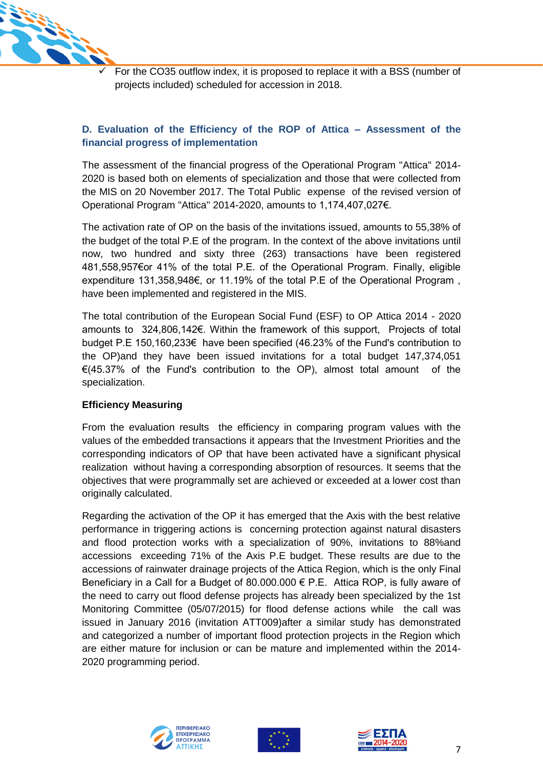

 For the CO35 outflow index, it is proposed to replace it with a BSS (number of projects included) scheduled for accession in 2018.

# **D. Evaluation of the Efficiency of the ROP of Attica – Assessment of the financial progress of implementation**

The assessment of the financial progress of the Operational Program "Attica" 2014- 2020 is based both on elements of specialization and those that were collected from the MIS on 20 November 2017. The Total Public expense of the revised version of Operational Program "Attica" 2014-2020, amounts to 1,174,407,027€.

The activation rate of OP on the basis of the invitations issued, amounts to 55,38% of the budget of the total P.E of the program. In the context of the above invitations until now, two hundred and sixty three (263) transactions have been registered 481,558,957€or 41% of the total P.E. of the Operational Program. Finally, eligible expenditure 131,358,948€, or 11.19% of the total P.E of the Operational Program , have been implemented and registered in the MIS.

The total contribution of the European Social Fund (ESF) to OP Attica 2014 - 2020 amounts to 324,806,142€. Within the framework of this support, Projects of total budget P.E 150,160,233€ have been specified (46.23% of the Fund's contribution to the OP)and they have been issued invitations for a total budget 147,374,051 €(45.37% of the Fund's contribution to the OP), almost total amount of the specialization.

## **Efficiency Measuring**

From the evaluation results the efficiency in comparing program values with the values of the embedded transactions it appears that the Investment Priorities and the corresponding indicators of OP that have been activated have a significant physical realization without having a corresponding absorption of resources. It seems that the objectives that were programmally set are achieved or exceeded at a lower cost than originally calculated.

Regarding the activation of the OP it has emerged that the Axis with the best relative performance in triggering actions is concerning protection against natural disasters and flood protection works with a specialization of 90%, invitations to 88%and accessions exceeding 71% of the Axis P.E budget. These results are due to the accessions of rainwater drainage projects of the Attica Region, which is the only Final Beneficiary in a Call for a Budget of 80.000.000 € P.E. Attica ROP, is fully aware of the need to carry out flood defense projects has already been specialized by the 1st Monitoring Committee (05/07/2015) for flood defense actions while the call was issued in January 2016 (invitation ATT009)after a similar study has demonstrated and categorized a number of important flood protection projects in the Region which are either mature for inclusion or can be mature and implemented within the 2014- 2020 programming period.





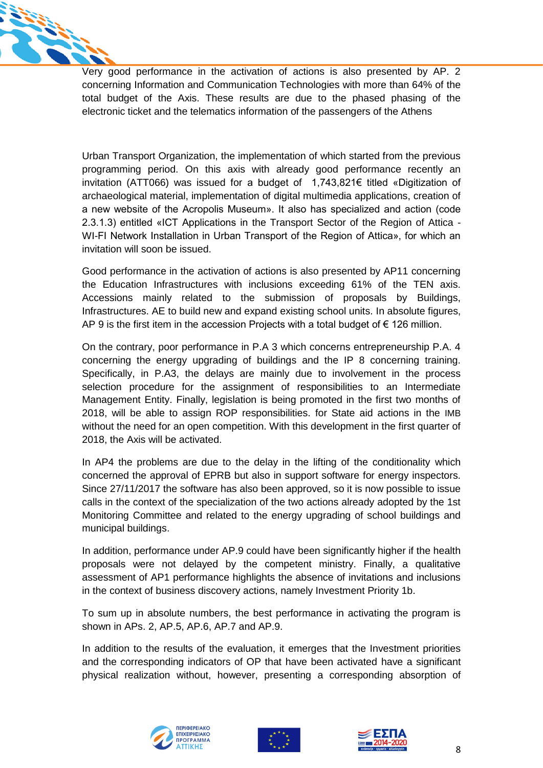

Very good performance in the activation of actions is also presented by AP. 2 concerning Information and Communication Technologies with more than 64% of the total budget of the Axis. These results are due to the phased phasing of the electronic ticket and the telematics information of the passengers of the Athens

Urban Transport Organization, the implementation of which started from the previous programming period. On this axis with already good performance recently an invitation (ATT066) was issued for a budget of 1,743,821€ titled «Digitization of archaeological material, implementation of digital multimedia applications, creation of a new website of the Acropolis Museum». It also has specialized and action (code 2.3.1.3) entitled «ICT Applications in the Transport Sector of the Region of Attica - WI-FI Network Installation in Urban Transport of the Region of Attica», for which an invitation will soon be issued.

Good performance in the activation of actions is also presented by AP11 concerning the Education Infrastructures with inclusions exceeding 61% of the TEN axis. Accessions mainly related to the submission of proposals by Buildings, Infrastructures. AE to build new and expand existing school units. In absolute figures, AP 9 is the first item in the accession Projects with a total budget of  $\epsilon$  126 million.

On the contrary, poor performance in P.A 3 which concerns entrepreneurship P.A. 4 concerning the energy upgrading of buildings and the IP 8 concerning training. Specifically, in P.A3, the delays are mainly due to involvement in the process selection procedure for the assignment of responsibilities to an Intermediate Management Entity. Finally, legislation is being promoted in the first two months of 2018, will be able to assign ROP responsibilities. for State aid actions in the IMB without the need for an open competition. With this development in the first quarter of 2018, the Axis will be activated.

In AP4 the problems are due to the delay in the lifting of the conditionality which concerned the approval of EPRB but also in support software for energy inspectors. Since 27/11/2017 the software has also been approved, so it is now possible to issue calls in the context of the specialization of the two actions already adopted by the 1st Monitoring Committee and related to the energy upgrading of school buildings and municipal buildings.

In addition, performance under AP.9 could have been significantly higher if the health proposals were not delayed by the competent ministry. Finally, a qualitative assessment of AP1 performance highlights the absence of invitations and inclusions in the context of business discovery actions, namely Investment Priority 1b.

To sum up in absolute numbers, the best performance in activating the program is shown in APs. 2, AP.5, AP.6, AP.7 and AP.9.

In addition to the results of the evaluation, it emerges that the Investment priorities and the corresponding indicators of OP that have been activated have a significant physical realization without, however, presenting a corresponding absorption of





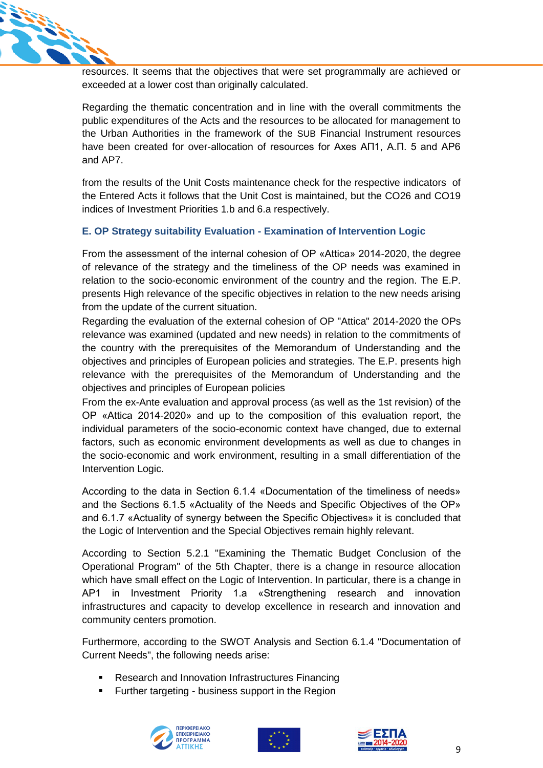

resources. It seems that the objectives that were set programmally are achieved or exceeded at a lower cost than originally calculated.

Regarding the thematic concentration and in line with the overall commitments the public expenditures of the Acts and the resources to be allocated for management to the Urban Authorities in the framework of the SUB Financial Instrument resources have been created for over-allocation of resources for Axes ΑΠ1, Α.Π. 5 and AP6 and AP7.

from the results of the Unit Costs maintenance check for the respective indicators of the Entered Acts it follows that the Unit Cost is maintained, but the CO26 and CO19 indices of Investment Priorities 1.b and 6.a respectively.

## **E. OP Strategy suitability Evaluation - Examination of Intervention Logic**

From the assessment of the internal cohesion of OP «Attica» 2014-2020, the degree of relevance of the strategy and the timeliness of the OP needs was examined in relation to the socio-economic environment of the country and the region. The E.P. presents High relevance of the specific objectives in relation to the new needs arising from the update of the current situation.

Regarding the evaluation of the external cohesion of OP "Attica" 2014-2020 the OPs relevance was examined (updated and new needs) in relation to the commitments of the country with the prerequisites of the Memorandum of Understanding and the objectives and principles of European policies and strategies. The E.P. presents high relevance with the prerequisites of the Memorandum of Understanding and the objectives and principles of European policies

From the ex-Ante evaluation and approval process (as well as the 1st revision) of the OP «Attica 2014-2020» and up to the composition of this evaluation report, the individual parameters of the socio-economic context have changed, due to external factors, such as economic environment developments as well as due to changes in the socio-economic and work environment, resulting in a small differentiation of the Intervention Logic.

According to the data in Section 6.1.4 «Documentation of the timeliness of needs» and the Sections 6.1.5 «Actuality of the Needs and Specific Objectives of the OP» and 6.1.7 «Actuality of synergy between the Specific Objectives» it is concluded that the Logic of Intervention and the Special Objectives remain highly relevant.

According to Section 5.2.1 "Examining the Thematic Budget Conclusion of the Operational Program" of the 5th Chapter, there is a change in resource allocation which have small effect on the Logic of Intervention. In particular, there is a change in AP1 in Investment Priority 1.a «Strengthening research and innovation infrastructures and capacity to develop excellence in research and innovation and community centers promotion.

Furthermore, according to the SWOT Analysis and Section 6.1.4 "Documentation of Current Needs", the following needs arise:

- Research and Innovation Infrastructures Financing
- Further targeting business support in the Region





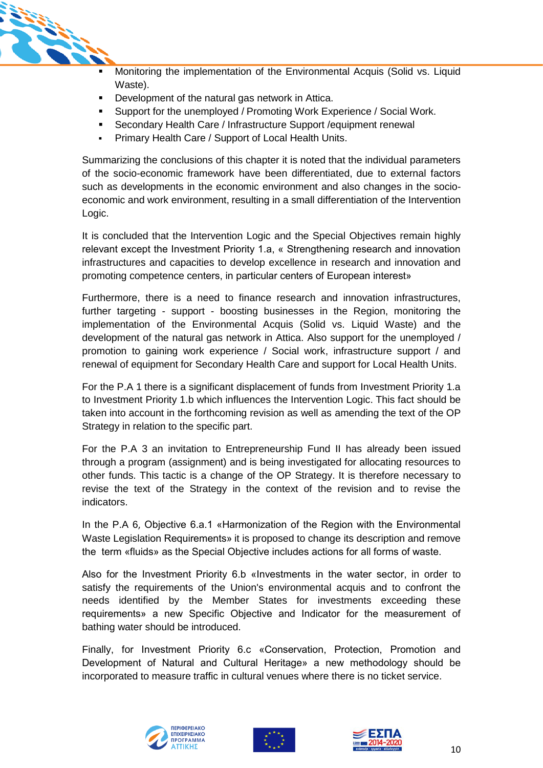

- Monitoring the implementation of the Environmental Acquis (Solid vs. Liquid Waste).
- Development of the natural gas network in Attica.
- Support for the unemployed / Promoting Work Experience / Social Work.
- Secondary Health Care / Infrastructure Support /equipment renewal
- Primary Health Care / Support of Local Health Units.

Summarizing the conclusions of this chapter it is noted that the individual parameters of the socio-economic framework have been differentiated, due to external factors such as developments in the economic environment and also changes in the socioeconomic and work environment, resulting in a small differentiation of the Intervention Logic.

It is concluded that the Intervention Logic and the Special Objectives remain highly relevant except the Investment Priority 1.a, « Strengthening research and innovation infrastructures and capacities to develop excellence in research and innovation and promoting competence centers, in particular centers of European interest»

Furthermore, there is a need to finance research and innovation infrastructures, further targeting - support - boosting businesses in the Region, monitoring the implementation of the Environmental Acquis (Solid vs. Liquid Waste) and the development of the natural gas network in Attica. Also support for the unemployed / promotion to gaining work experience / Social work, infrastructure support / and renewal of equipment for Secondary Health Care and support for Local Health Units.

For the P.A 1 there is a significant displacement of funds from Investment Priority 1.a to Investment Priority 1.b which influences the Intervention Logic. This fact should be taken into account in the forthcoming revision as well as amending the text of the OP Strategy in relation to the specific part.

For the P.A 3 an invitation to Entrepreneurship Fund II has already been issued through a program (assignment) and is being investigated for allocating resources to other funds. This tactic is a change of the OP Strategy. It is therefore necessary to revise the text of the Strategy in the context of the revision and to revise the indicators.

In the P.A 6, Objective 6.a.1 «Harmonization of the Region with the Environmental Waste Legislation Requirements» it is proposed to change its description and remove the term «fluids» as the Special Objective includes actions for all forms of waste.

Also for the Investment Priority 6.b «Investments in the water sector, in order to satisfy the requirements of the Union's environmental acquis and to confront the needs identified by the Member States for investments exceeding these requirements» a new Specific Objective and Indicator for the measurement of bathing water should be introduced.

Finally, for Investment Priority 6.c «Conservation, Protection, Promotion and Development of Natural and Cultural Heritage» a new methodology should be incorporated to measure traffic in cultural venues where there is no ticket service.